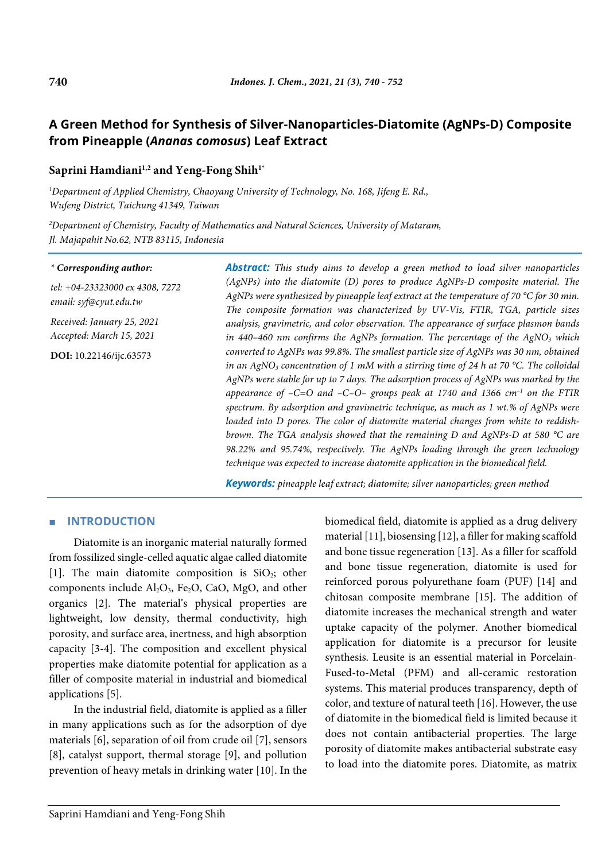# **A Green Method for Synthesis of Silver-Nanoparticles-Diatomite (AgNPs-D) Composite from Pineapple (***Ananas comosus***) Leaf Extract**

# **Saprini Hamdiani1,2 and Yeng-Fong Shih1\***

*1 Department of Applied Chemistry, Chaoyang University of Technology, No. 168, Jifeng E. Rd., Wufeng District, Taichung 41349, Taiwan*

*2 Department of Chemistry, Faculty of Mathematics and Natural Sciences, University of Mataram, Jl. Majapahit No.62, NTB 83115, Indonesia*

#### *\* Corresponding author:*

*tel: +04-23323000 ex 4308, 7272 email: syf@cyut.edu.tw*

*Received: January 25, 2021 Accepted: March 15, 2021*

**DOI:** 10.22146/ijc.63573

*Abstract: This study aims to develop a green method to load silver nanoparticles (AgNPs) into the diatomite (D) pores to produce AgNPs-D composite material. The AgNPs were synthesized by pineapple leaf extract at the temperature of 70 °C for 30 min. The composite formation was characterized by UV-Vis, FTIR, TGA, particle sizes analysis, gravimetric, and color observation. The appearance of surface plasmon bands in 440–460 nm confirms the AgNPs formation. The percentage of the AgNO3 which converted to AgNPs was 99.8%. The smallest particle size of AgNPs was 30 nm, obtained in an AgNO3 concentration of 1 mM with a stirring time of 24 h at 70 °C. The colloidal AgNPs were stable for up to 7 days. The adsorption process of AgNPs was marked by the appearance of –C=O and –C–O– groups peak at 1740 and 1366 cm–1 on the FTIR spectrum. By adsorption and gravimetric technique, as much as 1 wt.% of AgNPs were loaded into D pores. The color of diatomite material changes from white to reddishbrown. The TGA analysis showed that the remaining D and AgNPs-D at 580 °C are 98.22% and 95.74%, respectively. The AgNPs loading through the green technology technique was expected to increase diatomite application in the biomedical field.*

*Keywords: pineapple leaf extract; diatomite; silver nanoparticles; green method*

### ■ **INTRODUCTION**

Diatomite is an inorganic material naturally formed from fossilized single-celled aquatic algae called diatomite [1]. The main diatomite composition is  $SiO<sub>2</sub>$ ; other components include  $Al_2O_3$ , Fe<sub>2</sub>O, CaO, MgO, and other organics [2]. The material's physical properties are lightweight, low density, thermal conductivity, high porosity, and surface area, inertness, and high absorption capacity [3-4]. The composition and excellent physical properties make diatomite potential for application as a filler of composite material in industrial and biomedical applications [5].

In the industrial field, diatomite is applied as a filler in many applications such as for the adsorption of dye materials [6], separation of oil from crude oil [7], sensors [8], catalyst support, thermal storage [9], and pollution prevention of heavy metals in drinking water [10]. In the biomedical field, diatomite is applied as a drug delivery material [11], biosensing [12], a filler for making scaffold and bone tissue regeneration [13]. As a filler for scaffold and bone tissue regeneration, diatomite is used for reinforced porous polyurethane foam (PUF) [14] and chitosan composite membrane [15]. The addition of diatomite increases the mechanical strength and water uptake capacity of the polymer. Another biomedical application for diatomite is a precursor for leusite synthesis. Leusite is an essential material in Porcelain-Fused-to-Metal (PFM) and all-ceramic restoration systems. This material produces transparency, depth of color, and texture of natural teeth [16]. However, the use of diatomite in the biomedical field is limited because it does not contain antibacterial properties. The large porosity of diatomite makes antibacterial substrate easy to load into the diatomite pores. Diatomite, as matrix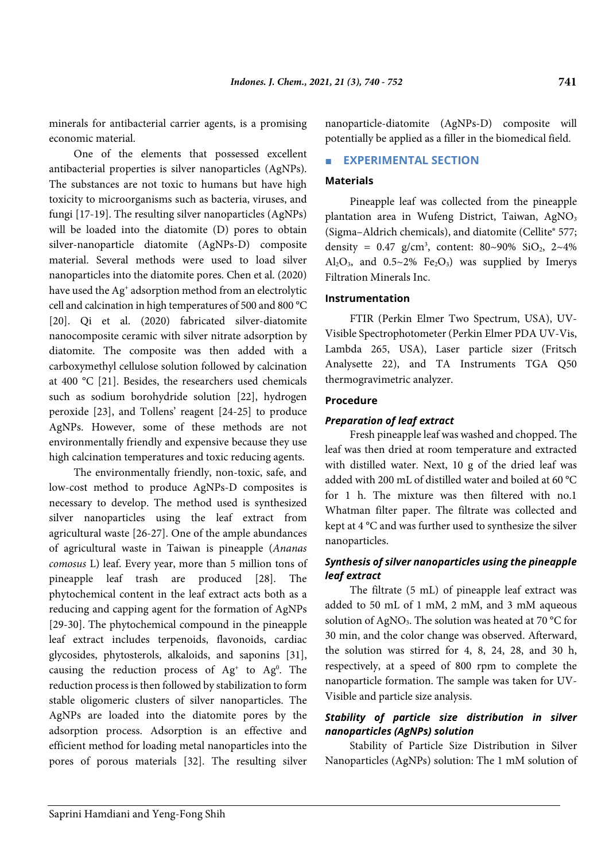minerals for antibacterial carrier agents, is a promising economic material.

One of the elements that possessed excellent antibacterial properties is silver nanoparticles (AgNPs). The substances are not toxic to humans but have high toxicity to microorganisms such as bacteria, viruses, and fungi [17-19]. The resulting silver nanoparticles (AgNPs) will be loaded into the diatomite (D) pores to obtain silver-nanoparticle diatomite (AgNPs-D) composite material. Several methods were used to load silver nanoparticles into the diatomite pores. Chen et al. (2020) have used the Ag<sup>+</sup> adsorption method from an electrolytic cell and calcination in high temperatures of 500 and 800 °C [20]. Qi et al. (2020) fabricated silver-diatomite nanocomposite ceramic with silver nitrate adsorption by diatomite. The composite was then added with a carboxymethyl cellulose solution followed by calcination at 400 °C [21]. Besides, the researchers used chemicals such as sodium borohydride solution [22], hydrogen peroxide [23], and Tollens' reagent [24-25] to produce AgNPs. However, some of these methods are not environmentally friendly and expensive because they use high calcination temperatures and toxic reducing agents.

The environmentally friendly, non-toxic, safe, and low-cost method to produce AgNPs-D composites is necessary to develop. The method used is synthesized silver nanoparticles using the leaf extract from agricultural waste [26-27]. One of the ample abundances of agricultural waste in Taiwan is pineapple (*Ananas comosus* L) leaf. Every year, more than 5 million tons of pineapple leaf trash are produced [28]. The phytochemical content in the leaf extract acts both as a reducing and capping agent for the formation of AgNPs [29-30]. The phytochemical compound in the pineapple leaf extract includes terpenoids, flavonoids, cardiac glycosides, phytosterols, alkaloids, and saponins [31], causing the reduction process of  $Ag<sup>+</sup>$  to  $Ag<sup>0</sup>$ . The reduction process is then followed by stabilization to form stable oligomeric clusters of silver nanoparticles. The AgNPs are loaded into the diatomite pores by the adsorption process. Adsorption is an effective and efficient method for loading metal nanoparticles into the pores of porous materials [32]. The resulting silver

nanoparticle-diatomite (AgNPs-D) composite will potentially be applied as a filler in the biomedical field.

# **EXPERIMENTAL SECTION**

### **Materials**

Pineapple leaf was collected from the pineapple plantation area in Wufeng District, Taiwan, AgNO<sub>3</sub> (Sigma–Aldrich chemicals), and diatomite (Cellite® 577; density =  $0.47$  g/cm<sup>3</sup>, content:  $80~90\%$  SiO<sub>2</sub>,  $2~4\%$ Al<sub>2</sub>O<sub>3</sub>, and 0.5~2% Fe<sub>2</sub>O<sub>3</sub>) was supplied by Imerys Filtration Minerals Inc.

#### **Instrumentation**

FTIR (Perkin Elmer Two Spectrum, USA), UV-Visible Spectrophotometer (Perkin Elmer PDA UV-Vis, Lambda 265, USA), Laser particle sizer (Fritsch Analysette 22), and TA Instruments TGA Q50 thermogravimetric analyzer.

### **Procedure**

### *Preparation of leaf extract*

Fresh pineapple leaf was washed and chopped. The leaf was then dried at room temperature and extracted with distilled water. Next, 10 g of the dried leaf was added with 200 mL of distilled water and boiled at 60 °C for 1 h. The mixture was then filtered with no.1 Whatman filter paper. The filtrate was collected and kept at 4 °C and was further used to synthesize the silver nanoparticles.

### *Synthesis of silver nanoparticles using the pineapple leaf extract*

The filtrate (5 mL) of pineapple leaf extract was added to 50 mL of 1 mM, 2 mM, and 3 mM aqueous solution of AgNO3. The solution was heated at 70 °C for 30 min, and the color change was observed. Afterward, the solution was stirred for 4, 8, 24, 28, and 30 h, respectively, at a speed of 800 rpm to complete the nanoparticle formation. The sample was taken for UV-Visible and particle size analysis.

# *Stability of particle size distribution in silver nanoparticles (AgNPs) solution*

Stability of Particle Size Distribution in Silver Nanoparticles (AgNPs) solution: The 1 mM solution of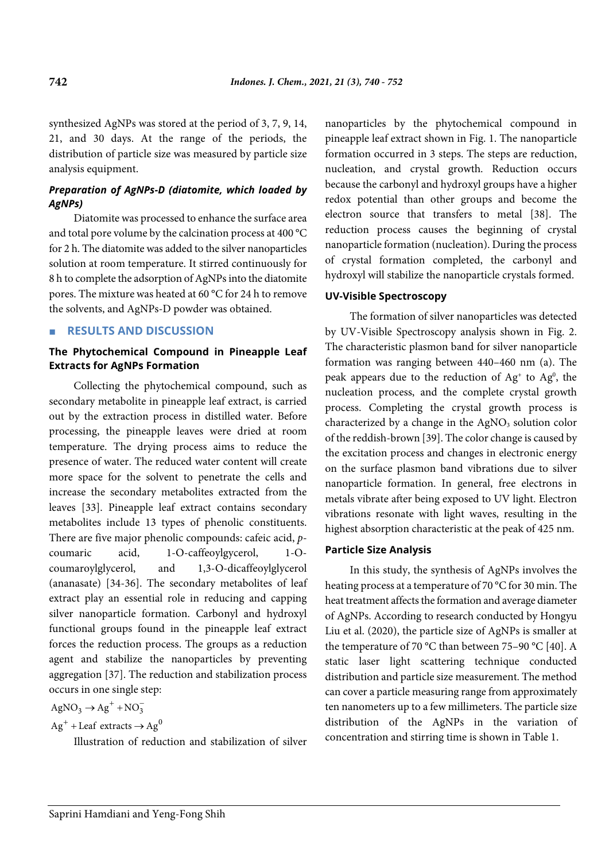synthesized AgNPs was stored at the period of 3, 7, 9, 14, 21, and 30 days. At the range of the periods, the distribution of particle size was measured by particle size analysis equipment.

# *Preparation of AgNPs-D (diatomite, which loaded by AgNPs)*

Diatomite was processed to enhance the surface area and total pore volume by the calcination process at 400 °C for 2 h. The diatomite was added to the silver nanoparticles solution at room temperature. It stirred continuously for 8 h to complete the adsorption of AgNPs into the diatomite pores. The mixture was heated at 60 °C for 24 h to remove the solvents, and AgNPs-D powder was obtained.

# ■ **RESULTS AND DISCUSSION**

# **The Phytochemical Compound in Pineapple Leaf Extracts for AgNPs Formation**

Collecting the phytochemical compound, such as secondary metabolite in pineapple leaf extract, is carried out by the extraction process in distilled water. Before processing, the pineapple leaves were dried at room temperature. The drying process aims to reduce the presence of water. The reduced water content will create more space for the solvent to penetrate the cells and increase the secondary metabolites extracted from the leaves [33]. Pineapple leaf extract contains secondary metabolites include 13 types of phenolic constituents. There are five major phenolic compounds: cafeic acid, *p*coumaric acid, 1-O-caffeoylgycerol, 1-Ocoumaroylglycerol, and 1,3-O-dicaffeoylglycerol (ananasate) [34-36]. The secondary metabolites of leaf extract play an essential role in reducing and capping silver nanoparticle formation. Carbonyl and hydroxyl functional groups found in the pineapple leaf extract forces the reduction process. The groups as a reduction agent and stabilize the nanoparticles by preventing aggregation [37]. The reduction and stabilization process occurs in one single step:

 $AgNO<sub>3</sub> \rightarrow Ag<sup>+</sup> + NO<sub>3</sub>$ 

 $Ag<sup>+</sup> + Leaf$  extracts  $\rightarrow Ag<sup>0</sup>$ 

Illustration of reduction and stabilization of silver

nanoparticles by the phytochemical compound in pineapple leaf extract shown in Fig. 1. The nanoparticle formation occurred in 3 steps. The steps are reduction, nucleation, and crystal growth. Reduction occurs because the carbonyl and hydroxyl groups have a higher redox potential than other groups and become the electron source that transfers to metal [38]. The reduction process causes the beginning of crystal nanoparticle formation (nucleation). During the process of crystal formation completed, the carbonyl and hydroxyl will stabilize the nanoparticle crystals formed.

### **UV-Visible Spectroscopy**

The formation of silver nanoparticles was detected by UV-Visible Spectroscopy analysis shown in Fig. 2. The characteristic plasmon band for silver nanoparticle formation was ranging between 440–460 nm (a). The peak appears due to the reduction of  $Ag<sup>+</sup>$  to  $Ag<sup>0</sup>$ , the nucleation process, and the complete crystal growth process. Completing the crystal growth process is characterized by a change in the  $AgNO<sub>3</sub>$  solution color of the reddish-brown [39]. The color change is caused by the excitation process and changes in electronic energy on the surface plasmon band vibrations due to silver nanoparticle formation. In general, free electrons in metals vibrate after being exposed to UV light. Electron vibrations resonate with light waves, resulting in the highest absorption characteristic at the peak of 425 nm.

#### **Particle Size Analysis**

In this study, the synthesis of AgNPs involves the heating process at a temperature of 70 °C for 30 min. The heat treatment affects the formation and average diameter of AgNPs. According to research conducted by Hongyu Liu et al. (2020), the particle size of AgNPs is smaller at the temperature of 70 °C than between 75–90 °C [40]. A static laser light scattering technique conducted distribution and particle size measurement. The method can cover a particle measuring range from approximately ten nanometers up to a few millimeters. The particle size distribution of the AgNPs in the variation of concentration and stirring time is shown in Table 1.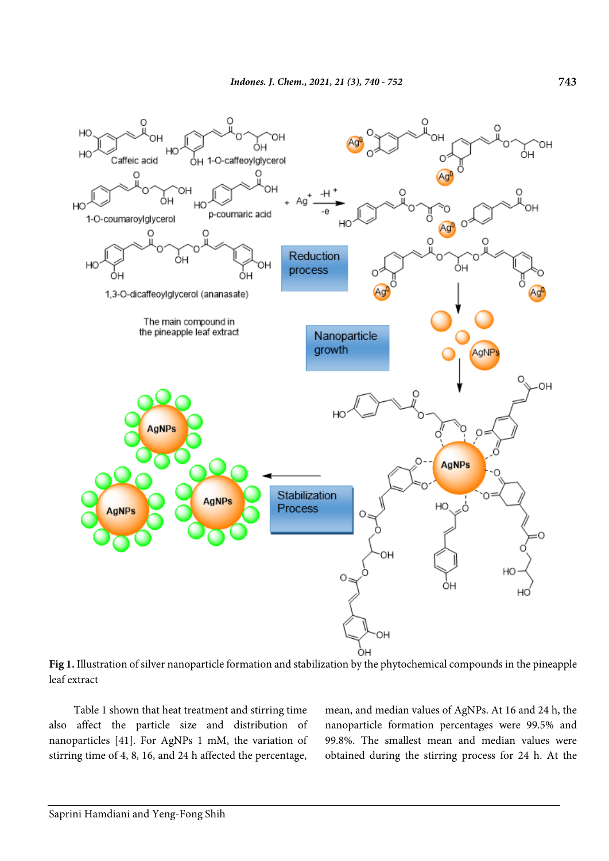

**Fig 1.** Illustration of silver nanoparticle formation and stabilization by the phytochemical compounds in the pineapple leaf extract

Table 1 shown that heat treatment and stirring time also affect the particle size and distribution of nanoparticles [41]. For AgNPs 1 mM, the variation of stirring time of 4, 8, 16, and 24 h affected the percentage, mean, and median values of AgNPs. At 16 and 24 h, the nanoparticle formation percentages were 99.5% and 99.8%. The smallest mean and median values were obtained during the stirring process for 24 h. At the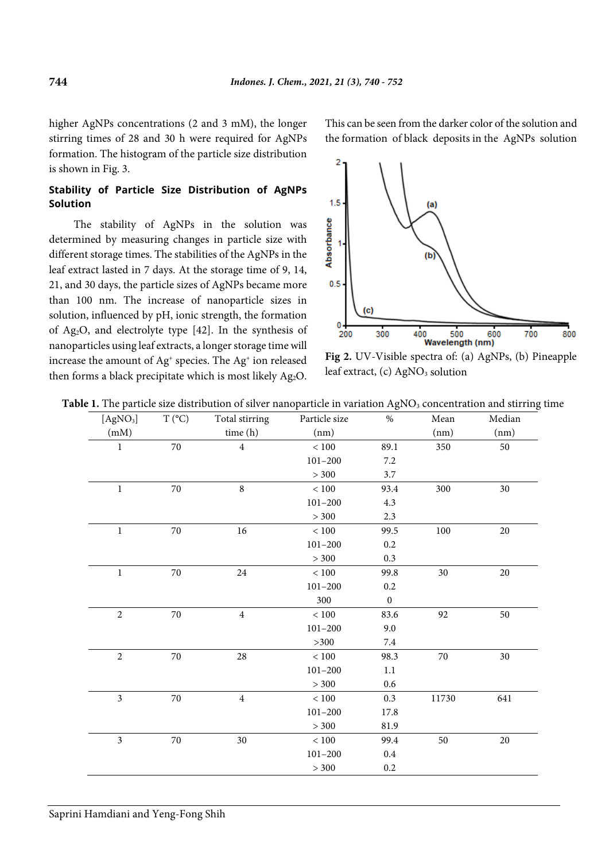higher AgNPs concentrations (2 and 3 mM), the longer stirring times of 28 and 30 h were required for AgNPs formation. The histogram of the particle size distribution is shown in Fig. 3.

# **Stability of Particle Size Distribution of AgNPs Solution**

The stability of AgNPs in the solution was determined by measuring changes in particle size with different storage times. The stabilities of the AgNPs in the leaf extract lasted in 7 days. At the storage time of 9, 14, 21, and 30 days, the particle sizes of AgNPs became more than 100 nm. The increase of nanoparticle sizes in solution, influenced by pH, ionic strength, the formation of Ag2O, and electrolyte type [42]. In the synthesis of nanoparticles using leaf extracts, a longer storage time will increase the amount of Ag+ species. The Ag+ ion released then forms a black precipitate which is most likely Ag<sub>2</sub>O. This can be seen from the darker color of the solution and the formation of black deposits in the AgNPs solution



**Fig 2.** UV-Visible spectra of: (a) AgNPs, (b) Pineapple leaf extract, (c) AgNO<sub>3</sub> solution

| Table 1. The particle size distribution of silver nanoparticle in variation $AgNO3$ concentration and stirring time |  |  |  |
|---------------------------------------------------------------------------------------------------------------------|--|--|--|
|---------------------------------------------------------------------------------------------------------------------|--|--|--|

| [AgNO <sub>3</sub> ]    | $T (^{\circ}C)$ | Total stirring | Particle size | $\%$             | Mean   | Median |
|-------------------------|-----------------|----------------|---------------|------------------|--------|--------|
| (mM)                    |                 | time (h)       | (nm)          |                  | (nm)   | (nm)   |
| 1                       | $70\,$          | $\overline{4}$ | < 100         | 89.1             | 350    | 50     |
|                         |                 |                | $101 - 200$   | 7.2              |        |        |
|                         |                 |                | > 300         | 3.7              |        |        |
| $\bf{l}$                | $70\,$          | $\,8\,$        | $<100\,$      | 93.4             | 300    | 30     |
|                         |                 |                | $101 - 200$   | 4.3              |        |        |
|                         |                 |                | > 300         | 2.3              |        |        |
| $\mathbf{1}$            | $70\,$          | $16\,$         | $<100\,$      | 99.5             | 100    | $20\,$ |
|                         |                 |                | $101 - 200$   | 0.2              |        |        |
|                         |                 |                | > 300         | 0.3              |        |        |
| $\mathbf{1}$            | 70              | 24             | < 100         | 99.8             | 30     | 20     |
|                         |                 |                | $101 - 200$   | 0.2              |        |        |
|                         |                 |                | 300           | $\boldsymbol{0}$ |        |        |
| $\overline{2}$          | 70              | $\overline{4}$ | $<100\,$      | 83.6             | 92     | 50     |
|                         |                 |                | $101 - 200$   | 9.0              |        |        |
|                         |                 |                | $>300$        | $7.4\,$          |        |        |
| $\sqrt{2}$              | $70\,$          | $28\,$         | $<100\,$      | 98.3             | $70\,$ | 30     |
|                         |                 |                | $101 - 200$   | 1.1              |        |        |
|                         |                 |                | > 300         | 0.6              |        |        |
| 3                       | $70\,$          | $\overline{4}$ | $<100\,$      | 0.3              | 11730  | 641    |
|                         |                 |                | $101 - 200$   | 17.8             |        |        |
|                         |                 |                | > 300         | 81.9             |        |        |
| $\overline{\mathbf{3}}$ | $70\,$          | $30\,$         | < 100         | 99.4             | 50     | 20     |
|                         |                 |                | $101 - 200$   | 0.4              |        |        |
|                         |                 |                | > 300         | $0.2\,$          |        |        |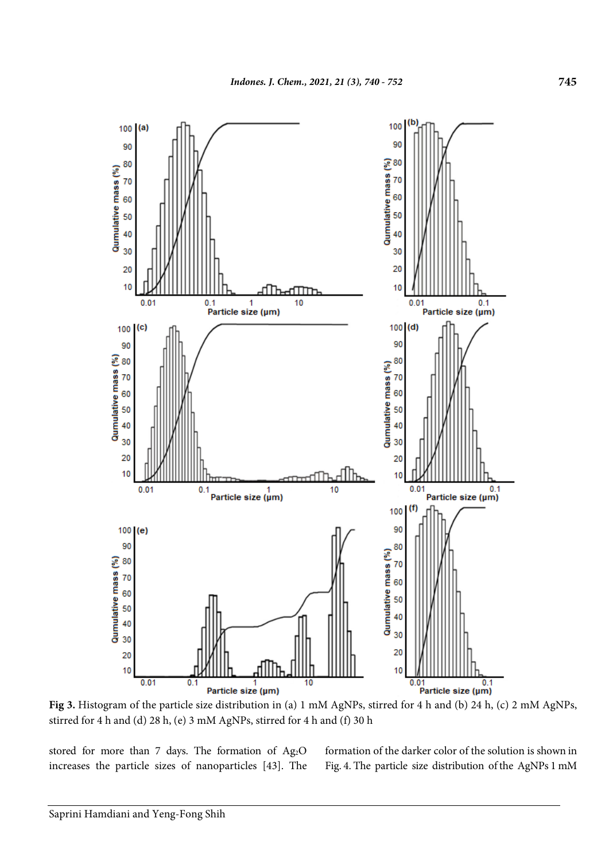

**Fig 3.** Histogram of the particle size distribution in (a) 1 mM AgNPs, stirred for 4 h and (b) 24 h, (c) 2 mM AgNPs, stirred for 4 h and (d) 28 h, (e) 3 mM AgNPs, stirred for 4 h and (f) 30 h

stored for more than 7 days. The formation of Ag2O increases the particle sizes of nanoparticles [43]. The formation of the darker color of the solution is shown in Fig. 4. The particle size distribution of the AgNPs 1 mM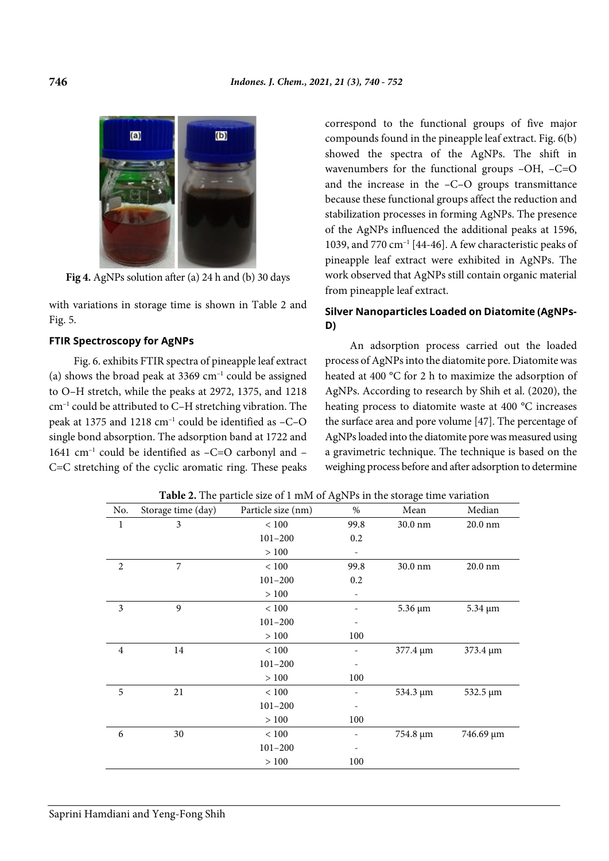

**Fig 4.** AgNPs solution after (a) 24 h and (b) 30 days

with variations in storage time is shown in Table 2 and Fig. 5.

### **FTIR Spectroscopy for AgNPs**

Fig. 6. exhibits FTIR spectra of pineapple leaf extract (a) shows the broad peak at  $3369 \text{ cm}^{-1}$  could be assigned to O–H stretch, while the peaks at 2972, 1375, and 1218 cm–1 could be attributed to C–H stretching vibration. The peak at 1375 and 1218 cm–1 could be identified as –C–O single bond absorption. The adsorption band at 1722 and 1641  $cm^{-1}$  could be identified as -C=O carbonyl and -C=C stretching of the cyclic aromatic ring. These peaks correspond to the functional groups of five major compounds found in the pineapple leaf extract. Fig. 6(b) showed the spectra of the AgNPs. The shift in wavenumbers for the functional groups -OH, -C=O and the increase in the –C–O groups transmittance because these functional groups affect the reduction and stabilization processes in forming AgNPs. The presence of the AgNPs influenced the additional peaks at 1596, 1039, and 770  $cm^{-1}$  [44-46]. A few characteristic peaks of pineapple leaf extract were exhibited in AgNPs. The work observed that AgNPs still contain organic material from pineapple leaf extract.

# **Silver Nanoparticles Loaded on Diatomite (AgNPs-D)**

An adsorption process carried out the loaded process of AgNPs into the diatomite pore. Diatomite was heated at 400 °C for 2 h to maximize the adsorption of AgNPs. According to research by Shih et al. (2020), the heating process to diatomite waste at 400 °C increases the surface area and pore volume [47]. The percentage of AgNPs loaded into the diatomite pore was measured using a gravimetric technique. The technique is based on the weighing process before and after adsorption to determine

| No.          | Storage time (day) | Particle size (nm) | $\%$                         | Mean         | Median            |
|--------------|--------------------|--------------------|------------------------------|--------------|-------------------|
| $\mathbf{1}$ | 3                  | < 100              | 99.8                         | 30.0 nm      | 20.0 nm           |
|              |                    | $101 - 200$        | 0.2                          |              |                   |
|              |                    | > 100              | $\qquad \qquad \blacksquare$ |              |                   |
| 2            | 7                  | < 100              | 99.8                         | 30.0 nm      | $20.0 \text{ nm}$ |
|              |                    | $101 - 200$        | 0.2                          |              |                   |
|              |                    | > 100              |                              |              |                   |
| 3            | 9                  | < 100              |                              | $5.36 \mu m$ | $5.34 \mu m$      |
|              |                    | $101 - 200$        | -                            |              |                   |
|              |                    | > 100              | 100                          |              |                   |
| 4            | 14                 | < 100              | -                            | 377.4 µm     | 373.4 µm          |
|              |                    | $101 - 200$        | $\overline{\phantom{m}}$     |              |                   |
|              |                    | > 100              | 100                          |              |                   |
| 5            | 21                 | $<100$             |                              | 534.3 µm     | 532.5 µm          |
|              |                    | $101 - 200$        | -                            |              |                   |
|              |                    | >100               | 100                          |              |                   |
| 6            | 30                 | $<100$             |                              | 754.8 µm     | 746.69 µm         |
|              |                    | $101 - 200$        | -                            |              |                   |
|              |                    | >100               | 100                          |              |                   |
|              |                    |                    |                              |              |                   |

**Table 2.** The particle size of 1 mM of AgNPs in the storage time variation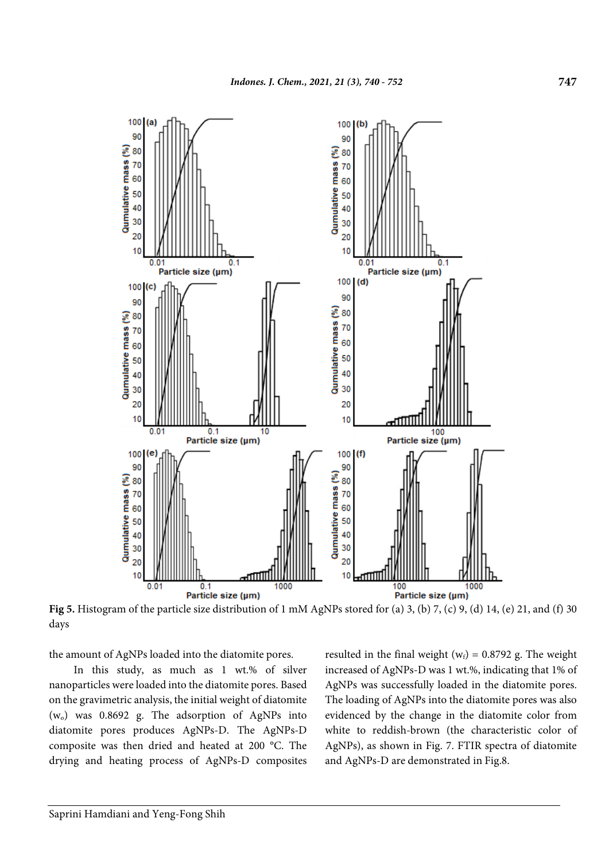

**Fig 5.** Histogram of the particle size distribution of 1 mM AgNPs stored for (a) 3, (b) 7, (c) 9, (d) 14, (e) 21, and (f) 30 days

the amount of AgNPs loaded into the diatomite pores.

In this study, as much as 1 wt.% of silver nanoparticles were loaded into the diatomite pores. Based on the gravimetric analysis, the initial weight of diatomite  $(w_0)$  was 0.8692 g. The adsorption of AgNPs into diatomite pores produces AgNPs-D. The AgNPs-D composite was then dried and heated at 200 °C. The drying and heating process of AgNPs-D composites resulted in the final weight ( $w_f$ ) = 0.8792 g. The weight increased of AgNPs-D was 1 wt.%, indicating that 1% of AgNPs was successfully loaded in the diatomite pores. The loading of AgNPs into the diatomite pores was also evidenced by the change in the diatomite color from white to reddish-brown (the characteristic color of AgNPs), as shown in Fig. 7. FTIR spectra of diatomite and AgNPs-D are demonstrated in Fig.8.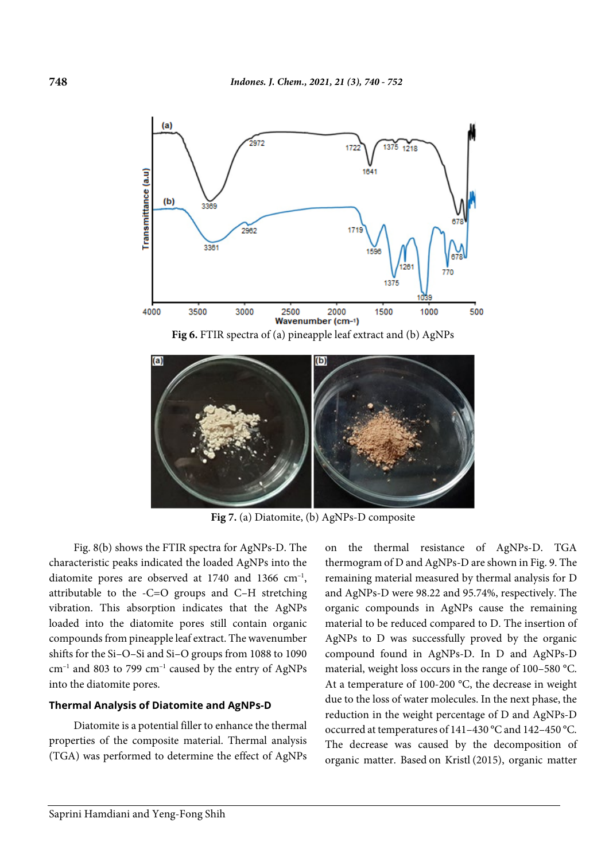

**Fig 6.** FTIR spectra of (a) pineapple leaf extract and (b) AgNPs



**Fig 7.** (a) Diatomite, (b) AgNPs-D composite

Fig. 8(b) shows the FTIR spectra for AgNPs-D. The characteristic peaks indicated the loaded AgNPs into the diatomite pores are observed at  $1740$  and  $1366$  cm<sup>-1</sup>, attributable to the -C=O groups and C–H stretching vibration. This absorption indicates that the AgNPs loaded into the diatomite pores still contain organic compounds from pineapple leaf extract. The wavenumber shifts for the Si–O–Si and Si–O groups from 1088 to 1090  $cm^{-1}$  and 803 to 799  $cm^{-1}$  caused by the entry of AgNPs into the diatomite pores.

#### **Thermal Analysis of Diatomite and AgNPs-D**

Diatomite is a potential filler to enhance the thermal properties of the composite material. Thermal analysis (TGA) was performed to determine the effect of AgNPs on the thermal resistance of AgNPs-D. TGA thermogram of D and AgNPs-D are shown in Fig. 9. The remaining material measured by thermal analysis for D and AgNPs-D were 98.22 and 95.74%, respectively. The organic compounds in AgNPs cause the remaining material to be reduced compared to D. The insertion of AgNPs to D was successfully proved by the organic compound found in AgNPs-D. In D and AgNPs-D material, weight loss occurs in the range of 100–580 °C. At a temperature of 100-200 °C, the decrease in weight due to the loss of water molecules. In the next phase, the reduction in the weight percentage of D and AgNPs-D occurred at temperatures of 141–430 °C and 142–450 °C. The decrease was caused by the decomposition of organic matter. Based on Kristl (2015), organic matter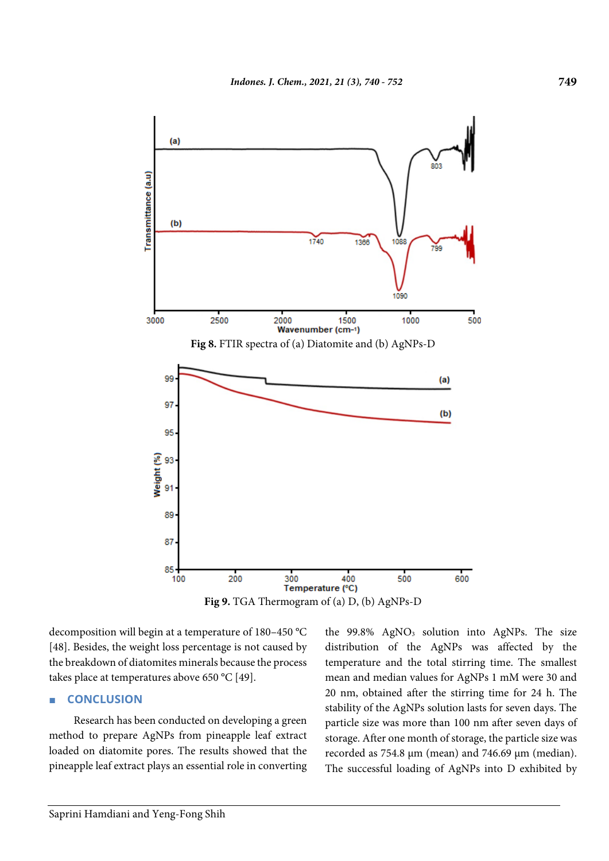

**Fig 9.** TGA Thermogram of (a) D, (b) AgNPs-D

decomposition will begin at a temperature of 180–450 °C [48]. Besides, the weight loss percentage is not caused by the breakdown of diatomites minerals because the process takes place at temperatures above 650 °C [49].

# ■ **CONCLUSION**

Research has been conducted on developing a green method to prepare AgNPs from pineapple leaf extract loaded on diatomite pores. The results showed that the pineapple leaf extract plays an essential role in converting the  $99.8\%$  AgNO<sub>3</sub> solution into AgNPs. The size distribution of the AgNPs was affected by the temperature and the total stirring time. The smallest mean and median values for AgNPs 1 mM were 30 and 20 nm, obtained after the stirring time for 24 h. The stability of the AgNPs solution lasts for seven days. The particle size was more than 100 nm after seven days of storage. After one month of storage, the particle size was recorded as 754.8 µm (mean) and 746.69 µm (median). The successful loading of AgNPs into D exhibited by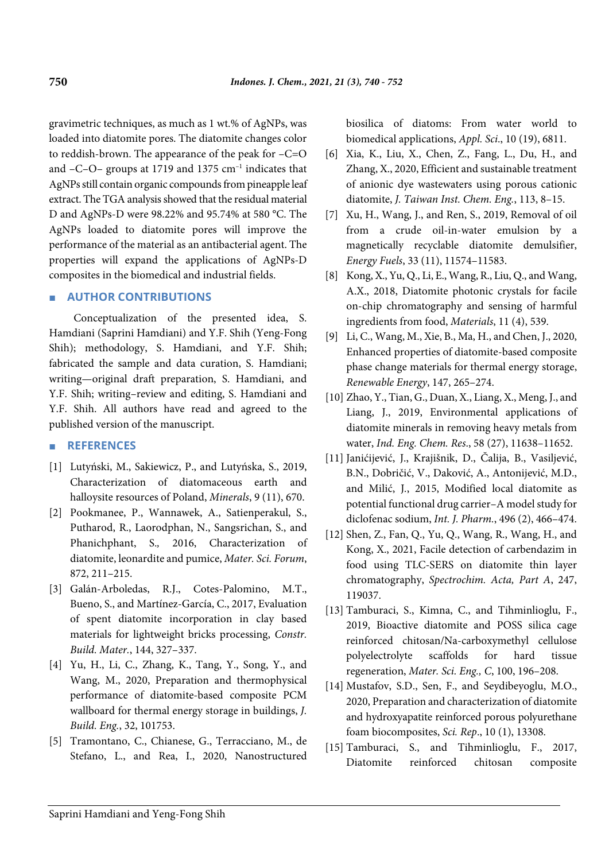gravimetric techniques, as much as 1 wt.% of AgNPs, was loaded into diatomite pores. The diatomite changes color to reddish-brown. The appearance of the peak for –C=O and  $-C$ – $O$ – groups at 1719 and 1375 cm<sup>-1</sup> indicates that AgNPs still contain organic compounds from pineapple leaf extract. The TGA analysis showed that the residual material D and AgNPs-D were 98.22% and 95.74% at 580 °C. The AgNPs loaded to diatomite pores will improve the performance of the material as an antibacterial agent. The properties will expand the applications of AgNPs-D composites in the biomedical and industrial fields.

## ■ **AUTHOR CONTRIBUTIONS**

Conceptualization of the presented idea, S. Hamdiani (Saprini Hamdiani) and Y.F. Shih (Yeng-Fong Shih); methodology, S. Hamdiani, and Y.F. Shih; fabricated the sample and data curation, S. Hamdiani; writing—original draft preparation, S. Hamdiani, and Y.F. Shih; writing–review and editing, S. Hamdiani and Y.F. Shih. All authors have read and agreed to the published version of the manuscript.

# ■ **REFERENCES**

- [1] Lutyński, M., Sakiewicz, P., and Lutyńska, S., 2019, Characterization of diatomaceous earth and halloysite resources of Poland, *Minerals*, 9 (11), 670.
- [2] Pookmanee, P., Wannawek, A., Satienperakul, S., Putharod, R., Laorodphan, N., Sangsrichan, S., and Phanichphant, S.*,* 2016, Characterization of diatomite, leonardite and pumice, *Mater. Sci. Forum*, 872, 211–215.
- [3] Galán-Arboledas, R.J., Cotes-Palomino, M.T., Bueno, S., and Martínez-García, C., 2017, Evaluation of spent diatomite incorporation in clay based materials for lightweight bricks processing, *Constr. Build. Mater.*, 144, 327–337.
- [4] Yu, H., Li, C., Zhang, K., Tang, Y., Song, Y., and Wang, M., 2020, Preparation and thermophysical performance of diatomite-based composite PCM wallboard for thermal energy storage in buildings, *J. Build. Eng.*, 32, 101753.
- [5] Tramontano, C., Chianese, G., Terracciano, M., de Stefano, L., and Rea, I., 2020, Nanostructured

biosilica of diatoms: From water world to biomedical applications, *Appl. Sci*., 10 (19), 6811.

- [6] Xia, K., Liu, X., Chen, Z., Fang, L., Du, H., and Zhang, X., 2020, Efficient and sustainable treatment of anionic dye wastewaters using porous cationic diatomite, *J. Taiwan Inst. Chem. Eng.*, 113, 8–15.
- [7] Xu, H., Wang, J., and Ren, S., 2019, Removal of oil from a crude oil-in-water emulsion by a magnetically recyclable diatomite demulsifier, *Energy Fuels*, 33 (11), 11574–11583.
- [8] Kong, X., Yu, Q., Li, E., Wang, R., Liu, Q., and Wang, A.X., 2018, Diatomite photonic crystals for facile on-chip chromatography and sensing of harmful ingredients from food, *Materials*, 11 (4), 539.
- [9] Li, C., Wang, M., Xie, B., Ma, H., and Chen, J., 2020, Enhanced properties of diatomite-based composite phase change materials for thermal energy storage, *Renewable Energy*, 147, 265–274.
- [10] Zhao, Y., Tian, G., Duan, X., Liang, X., Meng, J., and Liang, J., 2019, Environmental applications of diatomite minerals in removing heavy metals from water, *Ind. Eng. Chem. Res*., 58 (27), 11638–11652.
- [11] Janićijević, J., Krajišnik, D., Čalija, B., Vasiljević, B.N., Dobričić, V., Daković, A., Antonijević, M.D., and Milić, J*.*, 2015, Modified local diatomite as potential functional drug carrier–A model study for diclofenac sodium, *Int. J. Pharm.*, 496 (2), 466–474.
- [12] Shen, Z., Fan, Q., Yu, Q., Wang, R., Wang, H., and Kong, X., 2021, Facile detection of carbendazim in food using TLC-SERS on diatomite thin layer chromatography, *Spectrochim. Acta, Part A*, 247, 119037.
- [13] Tamburaci, S., Kimna, C., and Tihminlioglu, F., 2019, Bioactive diatomite and POSS silica cage reinforced chitosan/Na-carboxymethyl cellulose polyelectrolyte scaffolds for hard tissue regeneration, *Mater. Sci. Eng., C*, 100, 196–208.
- [14] Mustafov, S.D., Sen, F., and Seydibeyoglu, M.O., 2020, Preparation and characterization of diatomite and hydroxyapatite reinforced porous polyurethane foam biocomposites, *Sci. Rep*., 10 (1), 13308.
- [15] Tamburaci, S., and Tihminlioglu, F., 2017, Diatomite reinforced chitosan composite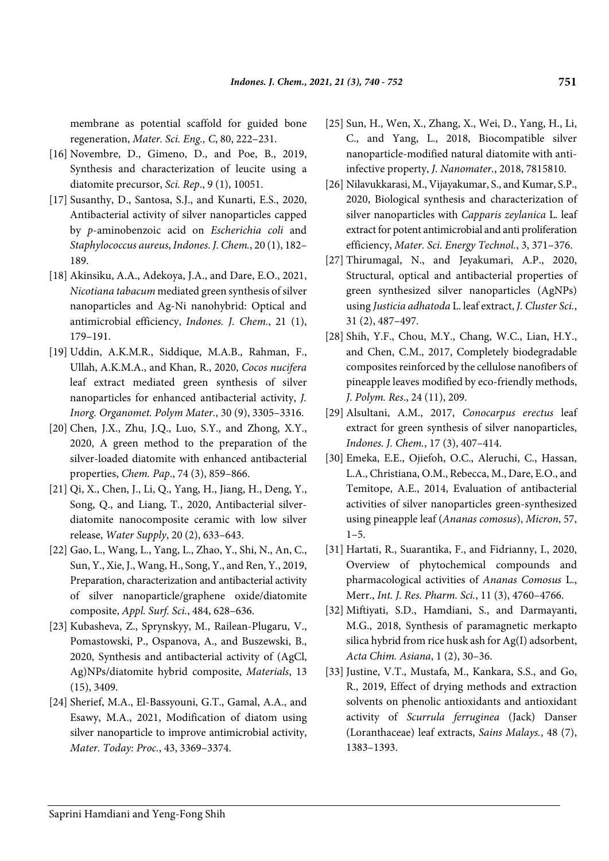membrane as potential scaffold for guided bone regeneration, *Mater. Sci. Eng., C*, 80, 222–231.

- [16] Novembre, D., Gimeno, D., and Poe, B., 2019, Synthesis and characterization of leucite using a diatomite precursor, *Sci. Rep*., 9 (1), 10051.
- [17] Susanthy, D., Santosa, S.J., and Kunarti, E.S., 2020, Antibacterial activity of silver nanoparticles capped by *p*-aminobenzoic acid on *Escherichia coli* and *Staphylococcus aureus*, *Indones. J. Chem.*, 20 (1), 182– 189.
- [18] Akinsiku, A.A., Adekoya, J.A., and Dare, E.O., 2021, *Nicotiana tabacum* mediated green synthesis of silver nanoparticles and Ag-Ni nanohybrid: Optical and antimicrobial efficiency, *Indones. J. Chem.*, 21 (1), 179–191.
- [19] Uddin, A.K.M.R., Siddique, M.A.B., Rahman, F., Ullah, A.K.M.A., and Khan, R., 2020, *Cocos nucifera* leaf extract mediated green synthesis of silver nanoparticles for enhanced antibacterial activity, *J. Inorg. Organomet. Polym Mater.*, 30 (9), 3305–3316.
- [20] Chen, J.X., Zhu, J.Q., Luo, S.Y., and Zhong, X.Y., 2020, A green method to the preparation of the silver-loaded diatomite with enhanced antibacterial properties, *Chem. Pap*., 74 (3), 859–866.
- [21] Qi, X., Chen, J., Li, Q., Yang, H., Jiang, H., Deng, Y., Song, Q., and Liang, T*.*, 2020, Antibacterial silverdiatomite nanocomposite ceramic with low silver release, *Water Supply*, 20 (2), 633–643.
- [22] Gao, L., Wang, L., Yang, L., Zhao, Y., Shi, N., An, C., Sun, Y., Xie, J., Wang, H., Song, Y., and Ren, Y*.*, 2019, Preparation, characterization and antibacterial activity of silver nanoparticle/graphene oxide/diatomite composite, *Appl. Surf. Sci.*, 484, 628–636.
- [23] Kubasheva, Z., Sprynskyy, M., Railean-Plugaru, V., Pomastowski, P., Ospanova, A., and Buszewski, B., 2020, Synthesis and antibacterial activity of (AgCl, Ag)NPs/diatomite hybrid composite, *Materials*, 13 (15), 3409.
- [24] Sherief, M.A., El-Bassyouni, G.T., Gamal, A.A., and Esawy, M.A., 2021, Modification of diatom using silver nanoparticle to improve antimicrobial activity, *Mater. Today: Proc.*, 43, 3369–3374.
- [25] Sun, H., Wen, X., Zhang, X., Wei, D., Yang, H., Li, C., and Yang, L., 2018, Biocompatible silver nanoparticle-modified natural diatomite with antiinfective property, *J. Nanomater.*, 2018, 7815810.
- [26] Nilavukkarasi, M., Vijayakumar, S., and Kumar, S.P., 2020, Biological synthesis and characterization of silver nanoparticles with *Capparis zeylanica* L. leaf extract for potent antimicrobial and anti proliferation efficiency, *Mater. Sci. Energy Technol.*, 3, 371–376.
- [27] Thirumagal, N., and Jeyakumari, A.P., 2020, Structural, optical and antibacterial properties of green synthesized silver nanoparticles (AgNPs) using *Justicia adhatoda* L. leaf extract, *J. Cluster Sci.*, 31 (2), 487–497.
- [28] Shih, Y.F., Chou, M.Y., Chang, W.C., Lian, H.Y., and Chen, C.M., 2017, Completely biodegradable composites reinforced by the cellulose nanofibers of pineapple leaves modified by eco-friendly methods, *J. Polym. Res*., 24 (11), 209.
- [29] Alsultani, A.M., 2017, *Conocarpus erectus* leaf extract for green synthesis of silver nanoparticles, *Indones. J. Chem.*, 17 (3), 407–414.
- [30] Emeka, E.E., Ojiefoh, O.C., Aleruchi, C., Hassan, L.A., Christiana, O.M., Rebecca, M., Dare, E.O., and Temitope, A.E., 2014, Evaluation of antibacterial activities of silver nanoparticles green-synthesized using pineapple leaf (*Ananas comosus*), *Micron*, 57,  $1 - 5.$
- [31] Hartati, R., Suarantika, F., and Fidrianny, I., 2020, Overview of phytochemical compounds and pharmacological activities of *Ananas Comosus* L., Merr., *Int. J. Res. Pharm. Sci.*, 11 (3), 4760–4766.
- [32] Miftiyati, S.D., Hamdiani, S., and Darmayanti, M.G., 2018, Synthesis of paramagnetic merkapto silica hybrid from rice husk ash for Ag(I) adsorbent, *Acta Chim. Asiana*, 1 (2), 30–36.
- [33] Justine, V.T., Mustafa, M., Kankara, S.S., and Go, R., 2019, Effect of drying methods and extraction solvents on phenolic antioxidants and antioxidant activity of *Scurrula ferruginea* (Jack) Danser (Loranthaceae) leaf extracts, *Sains Malays.*, 48 (7), 1383–1393.